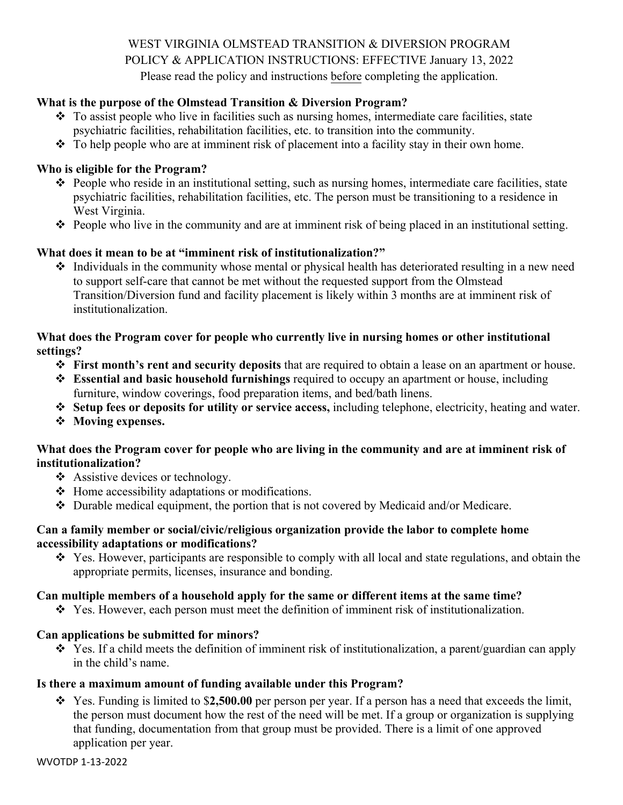WEST VIRGINIA OLMSTEAD TRANSITION & DIVERSION PROGRAM POLICY & APPLICATION INSTRUCTIONS: EFFECTIVE January 13, 2022 Please read the policy and instructions before completing the application.

## **What is the purpose of the Olmstead Transition & Diversion Program?**

- \* To assist people who live in facilities such as nursing homes, intermediate care facilities, state psychiatric facilities, rehabilitation facilities, etc. to transition into the community.
- $\cdot \cdot$  To help people who are at imminent risk of placement into a facility stay in their own home.

#### **Who is eligible for the Program?**

- People who reside in an institutional setting, such as nursing homes, intermediate care facilities, state psychiatric facilities, rehabilitation facilities, etc. The person must be transitioning to a residence in West Virginia.
- $\hat{\cdot}$  People who live in the community and are at imminent risk of being placed in an institutional setting.

### **What does it mean to be at "imminent risk of institutionalization?"**

 Individuals in the community whose mental or physical health has deteriorated resulting in a new need to support self-care that cannot be met without the requested support from the Olmstead Transition/Diversion fund and facility placement is likely within 3 months are at imminent risk of institutionalization.

#### **What does the Program cover for people who currently live in nursing homes or other institutional settings?**

- **First month's rent and security deposits** that are required to obtain a lease on an apartment or house.
- **Essential and basic household furnishings** required to occupy an apartment or house, including furniture, window coverings, food preparation items, and bed/bath linens.
- **Setup fees or deposits for utility or service access,** including telephone, electricity, heating and water.
- **Moving expenses.**

### **What does the Program cover for people who are living in the community and are at imminent risk of institutionalization?**

- ❖ Assistive devices or technology.
- $\triangleleft$  Home accessibility adaptations or modifications.
- Durable medical equipment, the portion that is not covered by Medicaid and/or Medicare.

#### **Can a family member or social/civic/religious organization provide the labor to complete home accessibility adaptations or modifications?**

\* Yes. However, participants are responsible to comply with all local and state regulations, and obtain the appropriate permits, licenses, insurance and bonding.

#### **Can multiple members of a household apply for the same or different items at the same time?**

Yes. However, each person must meet the definition of imminent risk of institutionalization.

## **Can applications be submitted for minors?**

\* Yes. If a child meets the definition of imminent risk of institutionalization, a parent/guardian can apply in the child's name.

## **Is there a maximum amount of funding available under this Program?**

 Yes. Funding is limited to \$**2,500.00** per person per year. If a person has a need that exceeds the limit, the person must document how the rest of the need will be met. If a group or organization is supplying that funding, documentation from that group must be provided. There is a limit of one approved application per year.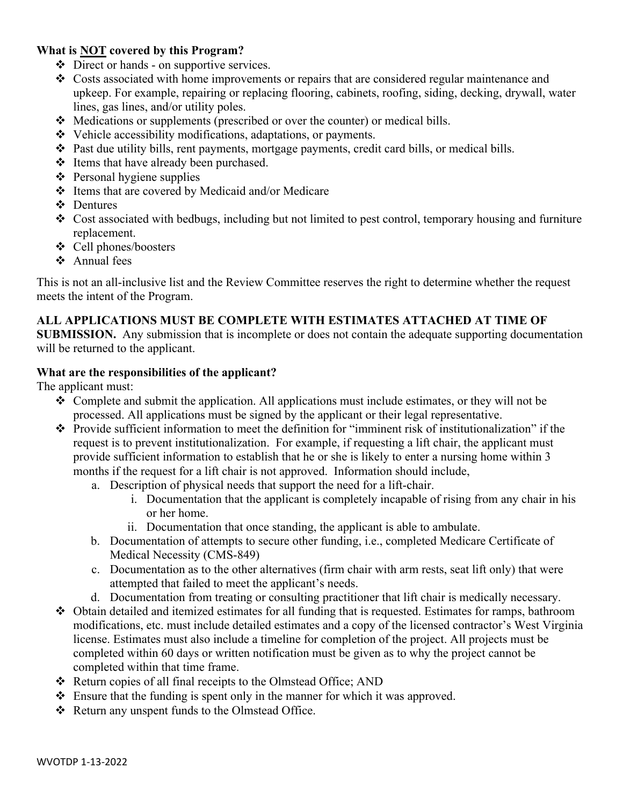## **What is NOT covered by this Program?**

- Direct or hands on supportive services.
- \* Costs associated with home improvements or repairs that are considered regular maintenance and upkeep. For example, repairing or replacing flooring, cabinets, roofing, siding, decking, drywall, water lines, gas lines, and/or utility poles.
- $\triangleleft$  Medications or supplements (prescribed or over the counter) or medical bills.
- Vehicle accessibility modifications, adaptations, or payments.
- $\hat{\cdot}$  Past due utility bills, rent payments, mortgage payments, credit card bills, or medical bills.
- ❖ Items that have already been purchased.
- $\triangle$  Personal hygiene supplies
- Items that are covered by Medicaid and/or Medicare
- Dentures
- $\div$  Cost associated with bedbugs, including but not limited to pest control, temporary housing and furniture replacement.
- Cell phones/boosters
- Annual fees

This is not an all-inclusive list and the Review Committee reserves the right to determine whether the request meets the intent of the Program.

# **ALL APPLICATIONS MUST BE COMPLETE WITH ESTIMATES ATTACHED AT TIME OF**

**SUBMISSION.** Any submission that is incomplete or does not contain the adequate supporting documentation will be returned to the applicant.

## **What are the responsibilities of the applicant?**

The applicant must:

- $\triangle$  Complete and submit the application. All applications must include estimates, or they will not be processed. All applications must be signed by the applicant or their legal representative.
- Provide sufficient information to meet the definition for "imminent risk of institutionalization" if the request is to prevent institutionalization. For example, if requesting a lift chair, the applicant must provide sufficient information to establish that he or she is likely to enter a nursing home within 3 months if the request for a lift chair is not approved. Information should include,
	- a. Description of physical needs that support the need for a lift-chair.
		- i. Documentation that the applicant is completely incapable of rising from any chair in his or her home.
		- ii. Documentation that once standing, the applicant is able to ambulate.
	- b. Documentation of attempts to secure other funding, i.e., completed Medicare Certificate of Medical Necessity (CMS-849)
	- c. Documentation as to the other alternatives (firm chair with arm rests, seat lift only) that were attempted that failed to meet the applicant's needs.
	- d. Documentation from treating or consulting practitioner that lift chair is medically necessary.
- Obtain detailed and itemized estimates for all funding that is requested. Estimates for ramps, bathroom modifications, etc. must include detailed estimates and a copy of the licensed contractor's West Virginia license. Estimates must also include a timeline for completion of the project. All projects must be completed within 60 days or written notification must be given as to why the project cannot be completed within that time frame.
- Return copies of all final receipts to the Olmstead Office; AND
- $\div$  Ensure that the funding is spent only in the manner for which it was approved.
- \* Return any unspent funds to the Olmstead Office.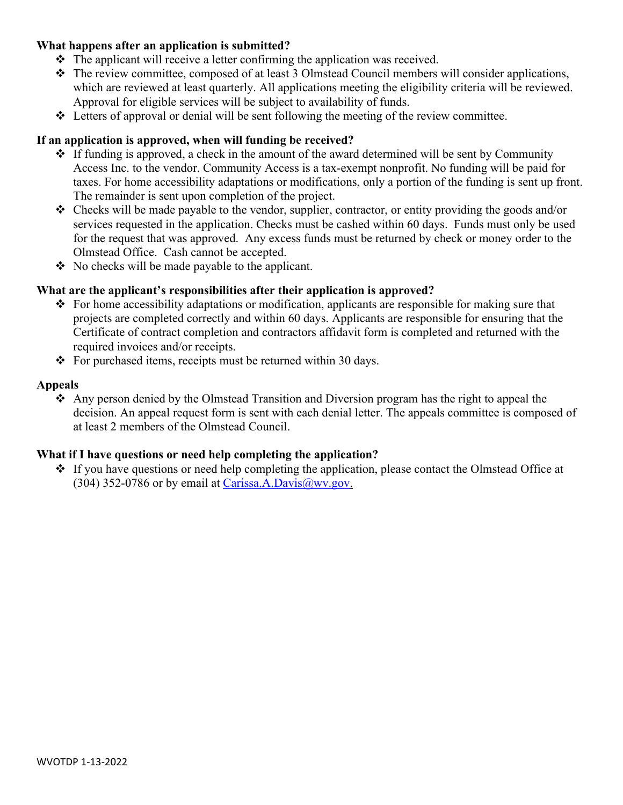### **What happens after an application is submitted?**

- $\triangle$  The applicant will receive a letter confirming the application was received.
- The review committee, composed of at least 3 Olmstead Council members will consider applications, which are reviewed at least quarterly. All applications meeting the eligibility criteria will be reviewed. Approval for eligible services will be subject to availability of funds.
- $\triangleleft$  Letters of approval or denial will be sent following the meeting of the review committee.

### **If an application is approved, when will funding be received?**

- $\div$  If funding is approved, a check in the amount of the award determined will be sent by Community Access Inc. to the vendor. Community Access is a tax-exempt nonprofit. No funding will be paid for taxes. For home accessibility adaptations or modifications, only a portion of the funding is sent up front. The remainder is sent upon completion of the project.
- $\triangle$  Checks will be made payable to the vendor, supplier, contractor, or entity providing the goods and/or services requested in the application. Checks must be cashed within 60 days. Funds must only be used for the request that was approved. Any excess funds must be returned by check or money order to the Olmstead Office. Cash cannot be accepted.
- $\bullet$  No checks will be made payable to the applicant.

### **What are the applicant's responsibilities after their application is approved?**

- $\div$  For home accessibility adaptations or modification, applicants are responsible for making sure that projects are completed correctly and within 60 days. Applicants are responsible for ensuring that the Certificate of contract completion and contractors affidavit form is completed and returned with the required invoices and/or receipts.
- $\div$  For purchased items, receipts must be returned within 30 days.

#### **Appeals**

 $\triangle$  Any person denied by the Olmstead Transition and Diversion program has the right to appeal the decision. An appeal request form is sent with each denial letter. The appeals committee is composed of at least 2 members of the Olmstead Council.

## **What if I have questions or need help completing the application?**

• If you have questions or need help completing the application, please contact the Olmstead Office at (304) 352-0786 or by email at Carissa.A.Davis $@$ wv.gov.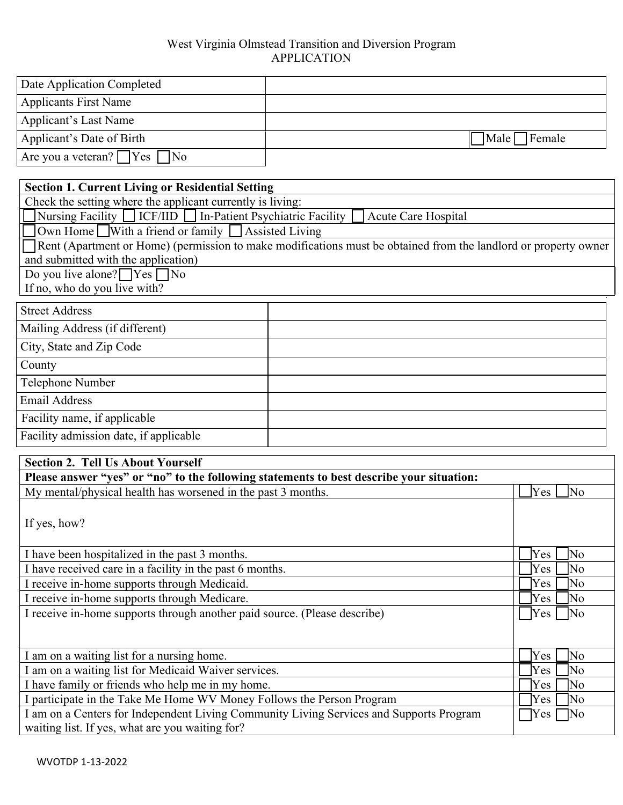### West Virginia Olmstead Transition and Diversion Program APPLICATION

| Date Application Completed              |                                           |
|-----------------------------------------|-------------------------------------------|
| <b>Applicants First Name</b>            |                                           |
| Applicant's Last Name                   |                                           |
| Applicant's Date of Birth               | $\blacksquare$ Male $\blacksquare$ Female |
| Are you a veteran? $\Box$ Yes $\Box$ No |                                           |

### **Section 1. Current Living or Residential Setting**

Check the setting where the applicant currently is living:

Nursing Facility  $\Box$  ICF/IID  $\Box$  In-Patient Psychiatric Facility  $\Box$  Acute Care Hospital

Own Home With a friend or family Assisted Living

Rent (Apartment or Home) (permission to make modifications must be obtained from the landlord or property owner and submitted with the application)

Do you live alone?  $\sqrt{\text{Yes}}$  No If no, who do you live with?

| <b>Street Address</b>                  |  |
|----------------------------------------|--|
| Mailing Address (if different)         |  |
| City, State and Zip Code               |  |
| County                                 |  |
| Telephone Number                       |  |
| <b>Email Address</b>                   |  |
| Facility name, if applicable           |  |
| Facility admission date, if applicable |  |

| <b>Section 2. Tell Us About Yourself</b>                                                 |                                   |
|------------------------------------------------------------------------------------------|-----------------------------------|
| Please answer "yes" or "no" to the following statements to best describe your situation: |                                   |
| My mental/physical health has worsened in the past 3 months.                             | $\overline{\rm No}$<br><b>Yes</b> |
|                                                                                          |                                   |
| If yes, how?                                                                             |                                   |
|                                                                                          |                                   |
| I have been hospitalized in the past 3 months.                                           | $\overline{\rm No}$<br>Yes        |
| I have received care in a facility in the past 6 months.                                 | No<br><b>Yes</b>                  |
| I receive in-home supports through Medicaid.                                             | No<br>Yes                         |
| I receive in-home supports through Medicare.                                             | No<br>Yes                         |
| I receive in-home supports through another paid source. (Please describe)                | $\overline{\rm No}$<br>Yes        |
|                                                                                          |                                   |
|                                                                                          |                                   |
| I am on a waiting list for a nursing home.                                               | Yes<br>No                         |
| I am on a waiting list for Medicaid Waiver services.                                     | Yes<br>No                         |
| I have family or friends who help me in my home.                                         | Yes<br>No                         |
| I participate in the Take Me Home WV Money Follows the Person Program                    | No<br>Yes                         |
| I am on a Centers for Independent Living Community Living Services and Supports Program  | ]No<br>Yes                        |
| waiting list. If yes, what are you waiting for?                                          |                                   |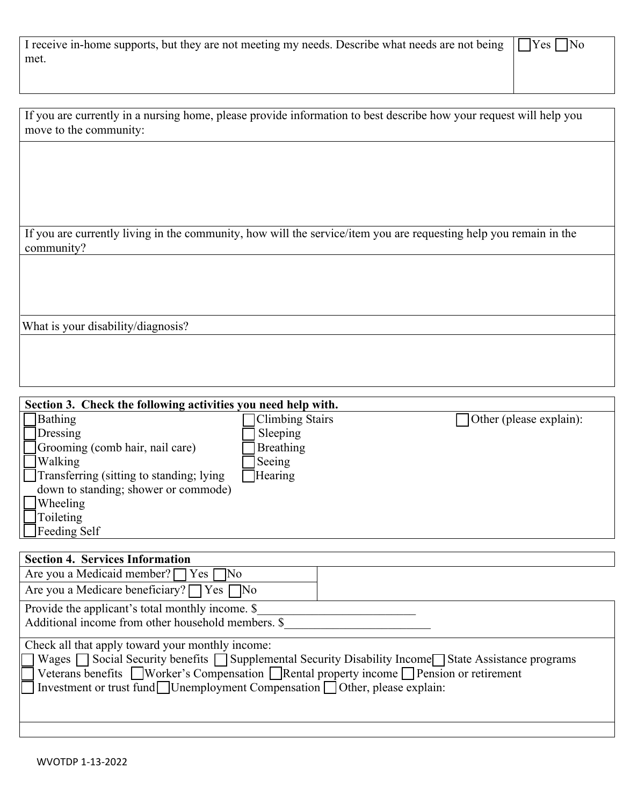| I receive in-home supports, but they are not meeting my needs. Describe what needs are not being $\Box$ Yes $\Box$ No |  |
|-----------------------------------------------------------------------------------------------------------------------|--|
| met.                                                                                                                  |  |
|                                                                                                                       |  |

| If you are currently in a nursing home, please provide information to best describe how your request will help you |  |
|--------------------------------------------------------------------------------------------------------------------|--|
| move to the community:                                                                                             |  |

If you are currently living in the community, how will the service/item you are requesting help you remain in the community?

What is your disability/diagnosis?

| Section 3. Check the following activities you need help with. |                        |                                |
|---------------------------------------------------------------|------------------------|--------------------------------|
| Bathing                                                       | <b>Climbing Stairs</b> | $\Box$ Other (please explain): |
| Dressing                                                      | Sleeping               |                                |
| Grooming (comb hair, nail care)                               | Breathing              |                                |
| <b>Walking</b>                                                | Seeing                 |                                |
| Transferring (sitting to standing; lying                      | Hearing                |                                |
| down to standing; shower or commode)                          |                        |                                |
| Wheeling                                                      |                        |                                |
| Toileting                                                     |                        |                                |
| $\Box$ Feeding Self                                           |                        |                                |

| <b>Section 4. Services Information</b>                                                                                                                                                                                                                                                                                                                |  |  |
|-------------------------------------------------------------------------------------------------------------------------------------------------------------------------------------------------------------------------------------------------------------------------------------------------------------------------------------------------------|--|--|
| Are you a Medicaid member? $\Box$ Yes $\Box$ No                                                                                                                                                                                                                                                                                                       |  |  |
| Are you a Medicare beneficiary? $\Box$ Yes $\Box$ No                                                                                                                                                                                                                                                                                                  |  |  |
| Provide the applicant's total monthly income. \$                                                                                                                                                                                                                                                                                                      |  |  |
| Additional income from other household members. \$                                                                                                                                                                                                                                                                                                    |  |  |
| Check all that apply toward your monthly income:<br>7 Wages □ Social Security benefits □ Supplemental Security Disability Income□ State Assistance programs<br>Veterans benefits Worker's Compensation Rental property income Pension or retirement<br>$\Box$ Investment or trust fund $\Box$ Unemployment Compensation $\Box$ Other, please explain: |  |  |
|                                                                                                                                                                                                                                                                                                                                                       |  |  |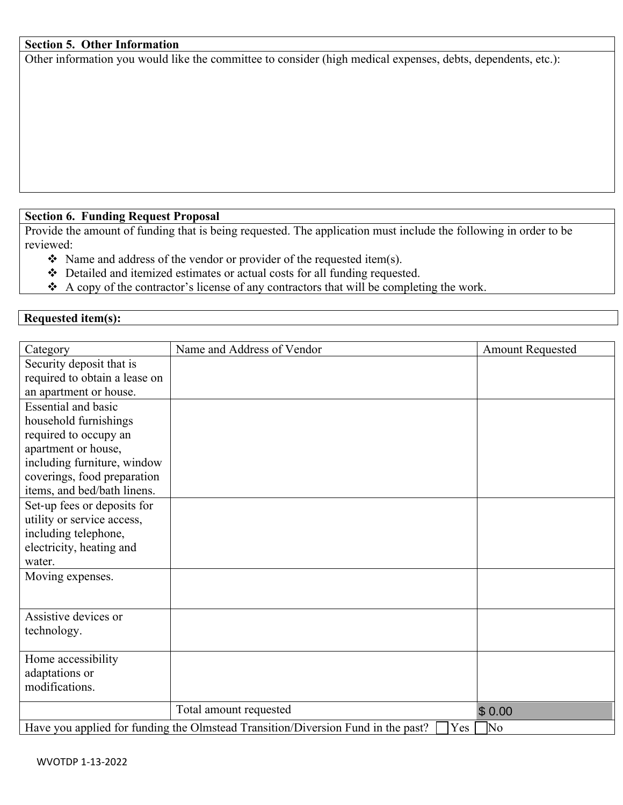### **Section 5. Other Information**

Other information you would like the committee to consider (high medical expenses, debts, dependents, etc.):

# **Section 6. Funding Request Proposal**

Provide the amount of funding that is being requested. The application must include the following in order to be reviewed:

- $\triangle$  Name and address of the vendor or provider of the requested item(s).
- Detailed and itemized estimates or actual costs for all funding requested.
- $\triangle$  A copy of the contractor's license of any contractors that will be completing the work.

## **Requested item(s):**

| Category                      | Name and Address of Vendor                                                              | <b>Amount Requested</b> |
|-------------------------------|-----------------------------------------------------------------------------------------|-------------------------|
| Security deposit that is      |                                                                                         |                         |
| required to obtain a lease on |                                                                                         |                         |
| an apartment or house.        |                                                                                         |                         |
| <b>Essential and basic</b>    |                                                                                         |                         |
| household furnishings         |                                                                                         |                         |
| required to occupy an         |                                                                                         |                         |
| apartment or house,           |                                                                                         |                         |
| including furniture, window   |                                                                                         |                         |
| coverings, food preparation   |                                                                                         |                         |
| items, and bed/bath linens.   |                                                                                         |                         |
| Set-up fees or deposits for   |                                                                                         |                         |
| utility or service access,    |                                                                                         |                         |
| including telephone,          |                                                                                         |                         |
| electricity, heating and      |                                                                                         |                         |
| water.                        |                                                                                         |                         |
| Moving expenses.              |                                                                                         |                         |
|                               |                                                                                         |                         |
| Assistive devices or          |                                                                                         |                         |
| technology.                   |                                                                                         |                         |
|                               |                                                                                         |                         |
| Home accessibility            |                                                                                         |                         |
| adaptations or                |                                                                                         |                         |
| modifications.                |                                                                                         |                         |
|                               | Total amount requested                                                                  | \$0.00                  |
|                               | Have you applied for funding the Olmstead Transition/Diversion Fund in the past?<br>Yes | $\sqrt{\text{No}}$      |